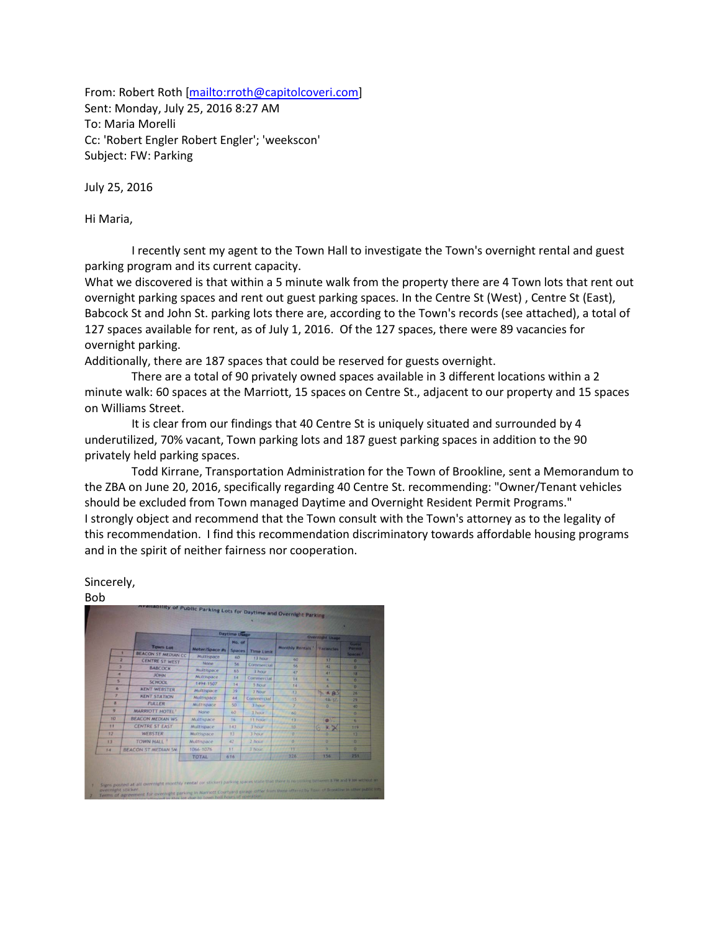From: Robert Roth [\[mailto:rroth@capitolcoveri.com\]](mailto:rroth@capitolcoveri.com) Sent: Monday, July 25, 2016 8:27 AM To: Maria Morelli Cc: 'Robert Engler Robert Engler'; 'weekscon' Subject: FW: Parking

July 25, 2016

Hi Maria,

 I recently sent my agent to the Town Hall to investigate the Town's overnight rental and guest parking program and its current capacity.

What we discovered is that within a 5 minute walk from the property there are 4 Town lots that rent out overnight parking spaces and rent out guest parking spaces. In the Centre St (West) , Centre St (East), Babcock St and John St. parking lots there are, according to the Town's records (see attached), a total of 127 spaces available for rent, as of July 1, 2016. Of the 127 spaces, there were 89 vacancies for overnight parking.

Additionally, there are 187 spaces that could be reserved for guests overnight.

 There are a total of 90 privately owned spaces available in 3 different locations within a 2 minute walk: 60 spaces at the Marriott, 15 spaces on Centre St., adjacent to our property and 15 spaces on Williams Street.

 It is clear from our findings that 40 Centre St is uniquely situated and surrounded by 4 underutilized, 70% vacant, Town parking lots and 187 guest parking spaces in addition to the 90 privately held parking spaces.

 Todd Kirrane, Transportation Administration for the Town of Brookline, sent a Memorandum to the ZBA on June 20, 2016, specifically regarding 40 Centre St. recommending: "Owner/Tenant vehicles should be excluded from Town managed Daytime and Overnight Resident Permit Programs." I strongly object and recommend that the Town consult with the Town's attorney as to the legality of this recommendation. I find this recommendation discriminatory towards affordable housing programs and in the spirit of neither fairness nor cooperation.

## Sincerely,